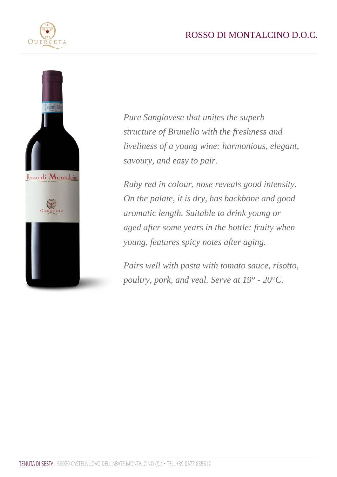Pure Sangiovese that unites the superb structure of Brunello with the freshness and liveliness of a young wine: harmonious, elegant, savoury, and easy to pair.

Ruby red in colour, nose reveals good intensity. On the palate, it is dry, has backbone and good aromatic length. Suitable to drink young or aged after some years in the bottle: fruity when young, features spicy notes after aging.

Pairs well with pasta with tomato sauce, risotto, poultry, pork, and veal. Serve at 19° - 20°C.